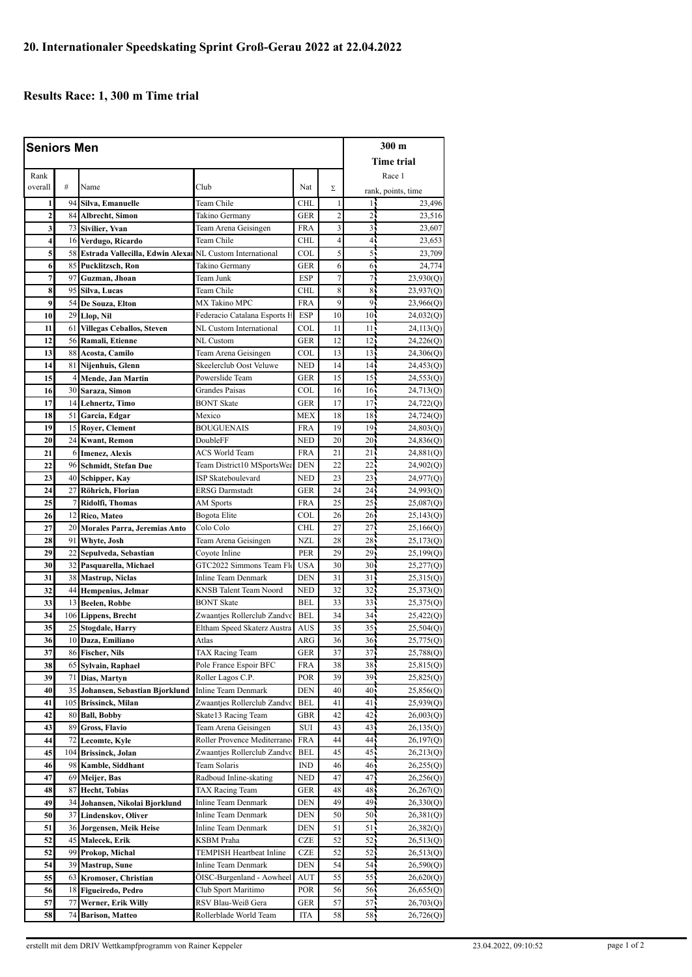## **Results Race: 1, 300 m Time trial**

| <b>Seniors Men</b> |                |                                                            |                                        |                   |                |                    | 300 m                  |  |
|--------------------|----------------|------------------------------------------------------------|----------------------------------------|-------------------|----------------|--------------------|------------------------|--|
|                    |                |                                                            |                                        |                   |                |                    | <b>Time trial</b>      |  |
| Rank               |                |                                                            |                                        |                   |                |                    | Race 1                 |  |
| overall            | #              | Name                                                       | Club                                   | Nat               | Σ              |                    | rank, points, time     |  |
| 1                  |                | 94 Silva, Emanuelle                                        | Team Chile                             | <b>CHL</b>        | 1              | 14                 | 23,496                 |  |
| $\overline{2}$     |                | 84 Albrecht, Simon                                         | Takino Germany                         | GER               | $\overline{c}$ | 24                 | 23,516                 |  |
| 3                  |                | 73 Sivilier, Yvan                                          | Team Arena Geisingen                   | <b>FRA</b>        | 3              | 35                 | 23,607                 |  |
| 4                  |                | 16 Verdugo, Ricardo                                        | Team Chile                             | <b>CHL</b>        | 4              | 41                 | 23,653                 |  |
| 5                  |                | 58 Estrada Vallecilla, Edwin Alexa NL Custom International |                                        | COL               | 5              | 55                 | 23,709                 |  |
| 6                  |                | 85 Pucklitzsch, Ron                                        | Takino Germany                         | <b>GER</b>        | 6              | 61                 | 24,774                 |  |
| 7                  |                | 97 Guzman, Jhoan                                           | Team Junk                              | <b>ESP</b>        | $\overline{7}$ | 71                 | 23,930(Q)              |  |
| 8                  |                | 95 Silva, Lucas                                            | Team Chile                             | <b>CHL</b>        | 8              | 85                 | 23,937(Q)              |  |
| 9                  |                | 54 De Souza, Elton                                         | MX Takino MPC                          | <b>FRA</b>        | 9              | 91                 | 23,966(Q)              |  |
| 10                 |                | 29 Llop, Nil                                               | Federacio Catalana Esports H           | <b>ESP</b>        | 10             | 10 <sub>1</sub>    | 24,032(Q)              |  |
| 11                 |                | 61 Villegas Ceballos, Steven                               | NL Custom International                | <b>COL</b>        | 11             | 11 <sub>1</sub>    | 24,113(Q)              |  |
| 12                 |                | 56 Ramali, Etienne                                         | NL Custom                              | <b>GER</b>        | 12             | 12 <sub>1</sub>    | 24,226(Q)              |  |
| 13                 |                | 88 Acosta, Camilo                                          | Team Arena Geisingen                   | COL               | 13             | 13 <sup>1</sup>    | 24,306(Q)              |  |
| 14                 |                | 81 Nijenhuis, Glenn                                        | Skeelerclub Oost Veluwe                | <b>NED</b>        | 14             | $14-$              | 24,453(Q)              |  |
| 15                 | $\overline{4}$ | Mende, Jan Martin                                          | Powerslide Team                        | GER               | 15             | 15 <sup>1</sup>    | 24,553(Q)              |  |
| 16                 |                | 30 Saraza, Simon                                           | <b>Grandes Paisas</b>                  | <b>COL</b>        | 16             | 16 <sup>1</sup>    | 24,713(Q)              |  |
| 17                 |                | 14 Lehnertz, Timo                                          | <b>BONT</b> Skate                      | <b>GER</b>        | 17             | 17.                | 24,722(Q)              |  |
| 18                 |                | 51 Garcia, Edgar                                           | Mexico                                 | <b>MEX</b>        | 18             | 18                 | 24,724(Q)              |  |
| 19                 |                | 15 Royer, Clement                                          | <b>BOUGUENAIS</b>                      | FRA               | 19             | 19 <sub>1</sub>    | 24,803(Q)              |  |
| 20                 |                | 24 Kwant, Remon                                            | DoubleFF                               | <b>NED</b>        | 20             | $20 -$             | 24,836(Q)              |  |
| 21                 |                | 6 Imenez, Alexis                                           | <b>ACS World Team</b>                  | <b>FRA</b>        | 21             | 21 <sup>1</sup>    | 24,881 <sub>(Q)</sub>  |  |
| 22                 |                | 96 Schmidt, Stefan Due                                     | Team District10 MSportsWea             | <b>DEN</b>        | 22             | $22 -$             | 24,902 <sub>(Q)</sub>  |  |
| 23                 |                | 40 Schipper, Kay                                           | ISP Skateboulevard                     | <b>NED</b>        | 23             | 23 <sub>1</sub>    | 24,977(Q)              |  |
| 24                 |                | 27 Röhrich, Florian                                        | <b>ERSG</b> Darmstadt                  | <b>GER</b>        | 24             | 24 <sub>1</sub>    | 24,993(Q)              |  |
| 25                 | 7              | Ridolfi, Thomas                                            | AM Sports                              | <b>FRA</b>        | 25             | 25                 | 25,087(Q)              |  |
| 26<br>27           | 20             | 12 Rico, Mateo                                             | Bogota Elite<br>Colo Colo              | COL<br><b>CHL</b> | 26<br>27       | $26 -$<br>$27^{-}$ | 25,143(Q)              |  |
| 28                 |                | Morales Parra, Jeremias Anto<br>91 Whyte, Josh             | Team Arena Geisingen                   | <b>NZL</b>        | 28             | 28 <sup>1</sup>    | 25,166(Q)<br>25,173(Q) |  |
| 29                 |                | 22 Sepulveda, Sebastian                                    | Coyote Inline                          | <b>PER</b>        | 29             | $29 -$             | 25,199(Q)              |  |
| 30                 |                | 32 Pasquarella, Michael                                    | GTC2022 Simmons Team Flo               | <b>USA</b>        | 30             | 30 <sub>1</sub>    | 25,277(Q)              |  |
| 31                 |                | 38 Mastrup, Niclas                                         | Inline Team Denmark                    | <b>DEN</b>        | 31             | 31 <sub>1</sub>    | 25,315(Q)              |  |
| 32                 | 44             | Hempenius, Jelmar                                          | KNSB Talent Team Noord                 | <b>NED</b>        | 32             | 32                 | 25,373(Q)              |  |
| 33                 |                | 13 Beelen, Robbe                                           | <b>BONT</b> Skate                      | BEL               | 33             | $33 -$             | 25,375(Q)              |  |
| 34                 |                | 106 Lippens, Brecht                                        | Zwaantjes Rollerclub Zandvc            | <b>BEL</b>        | 34             | 34 <sup>°</sup>    | 25,422 <sub>(Q)</sub>  |  |
| 35                 |                | 25 Stogdale, Harry                                         | Eltham Speed Skaterz Austra            | <b>AUS</b>        | 35             | 35 <sub>1</sub>    | 25,504(Q)              |  |
| 36                 |                | 10 Daza, Emiliano                                          | Atlas                                  | ARG               | 36             | 36 <sub>1</sub>    | 25,775(Q)              |  |
| 37                 |                | 86 Fischer, Nils                                           | TAX Racing Team                        | GER               | 37             | 37 <sup>2</sup>    | 25,788(Q)              |  |
| 38                 |                | 65 Sylvain, Raphael                                        | Pole France Espoir BFC                 | FRA               | 38             | $38 -$             | 25,815(Q)              |  |
| 39                 |                | 71 Dias, Martyn                                            | Roller Lagos C.P.                      | POR               | 39             | 39                 | 25,825(Q)              |  |
| 40                 |                | 35 Johansen, Sebastian Bjorklund                           | Inline Team Denmark                    | <b>DEN</b>        | 40             | 40 <sub>1</sub>    | 25,856 <sub>(Q)</sub>  |  |
| 41                 |                | 105 Brissinck, Milan                                       | Zwaantjes Rollerclub Zandvc            | <b>BEL</b>        | 41             | 41,                | 25,939(Q)              |  |
| 42                 | 80             | <b>Ball, Bobby</b>                                         | Skate13 Racing Team                    | GBR               | 42             | 42                 | 26,003(Q)              |  |
| 43                 |                | 89 Gross, Flavio                                           | Team Arena Geisingen                   | SUI               | 43             | 43 j               | 26,135(Q)              |  |
| 44                 |                | 72 Lecomte, Kyle                                           | Roller Provence Mediterrane            | <b>FRA</b>        | 44             | 44                 | 26,197(Q)              |  |
| 45                 |                | 104 Brissinck, Jolan                                       | Zwaantjes Rollerclub Zandvc            | <b>BEL</b>        | 45             | 45                 | 26,213(Q)              |  |
| 46<br>47           |                | 98 Kamble, Siddhant                                        | Team Solaris<br>Radboud Inline-skating | IND<br>NED        | 46<br>47       | 46,<br>47.         | 26,255(Q)              |  |
| 48                 |                | 69 Meijer, Bas<br>87 Hecht, Tobias                         | TAX Racing Team                        | GER               | 48             | 48,                | 26,256(Q)<br>26,267(Q) |  |
| 49                 |                | 34 Johansen, Nikolai Bjorklund                             | Inline Team Denmark                    | DEN               | 49             | 49                 | 26,330(Q)              |  |
| 50                 |                | 37 Lindenskov, Oliver                                      | Inline Team Denmark                    | DEN               | 50             | 50 <sub>1</sub>    | 26,381(Q)              |  |
| 51                 |                | 36 Jorgensen, Meik Heise                                   | Inline Team Denmark                    | DEN               | 51             | 51.                | 26,382(Q)              |  |
| 52                 |                | 45 Malecek, Erik                                           | KSBM Praha                             | CZE               | 52             | 52.                | 26,513(Q)              |  |
| 52                 |                | 99 Prokop, Michal                                          | TEMPISH Heartbeat Inline               | CZE               | 52             | 52:                | 26,513(Q)              |  |
| 54                 |                | 39 Mastrup, Sune                                           | Inline Team Denmark                    | DEN               | 54             | 54.                | 26,590(Q)              |  |
| 55                 |                | 63 Kromoser, Christian                                     | ÖISC-Burgenland - Aowheel              | AUT               | 55             | 55,                | 26,620(Q)              |  |
| 56                 | 18             | Figueiredo, Pedro                                          | Club Sport Maritimo                    | POR.              | 56             | 565                | 26,655(Q)              |  |
| 57                 | 77             | Werner, Erik Willy                                         | RSV Blau-Weiß Gera                     | GER               | 57             | 57.                | 26,703(Q)              |  |
| 58                 | 74             | <b>Barison, Matteo</b>                                     | Rollerblade World Team                 | <b>ITA</b>        | 58             | 58.                | 26,726(Q)              |  |